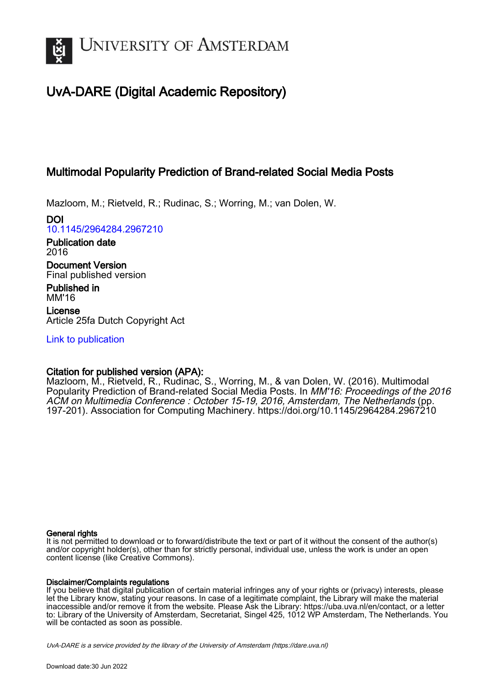

# UvA-DARE (Digital Academic Repository)

# Multimodal Popularity Prediction of Brand-related Social Media Posts

Mazloom, M.; Rietveld, R.; Rudinac, S.; Worring, M.; van Dolen, W.

DOI [10.1145/2964284.2967210](https://doi.org/10.1145/2964284.2967210)

Publication date 2016 Document Version

Final published version

Published in MM'16

License Article 25fa Dutch Copyright Act

[Link to publication](https://dare.uva.nl/personal/pure/en/publications/multimodal-popularity-prediction-of-brandrelated-social-media-posts(8f1ba4fe-b2bf-4ba4-be1a-5088c7d04b47).html)

# Citation for published version (APA):

Mazloom, M., Rietveld, R., Rudinac, S., Worring, M., & van Dolen, W. (2016). Multimodal Popularity Prediction of Brand-related Social Media Posts. In MM'16: Proceedings of the 2016 ACM on Multimedia Conference : October 15-19, 2016, Amsterdam, The Netherlands (pp. 197-201). Association for Computing Machinery. <https://doi.org/10.1145/2964284.2967210>

### General rights

It is not permitted to download or to forward/distribute the text or part of it without the consent of the author(s) and/or copyright holder(s), other than for strictly personal, individual use, unless the work is under an open content license (like Creative Commons).

## Disclaimer/Complaints regulations

If you believe that digital publication of certain material infringes any of your rights or (privacy) interests, please let the Library know, stating your reasons. In case of a legitimate complaint, the Library will make the material inaccessible and/or remove it from the website. Please Ask the Library: https://uba.uva.nl/en/contact, or a letter to: Library of the University of Amsterdam, Secretariat, Singel 425, 1012 WP Amsterdam, The Netherlands. You will be contacted as soon as possible.

UvA-DARE is a service provided by the library of the University of Amsterdam (http*s*://dare.uva.nl)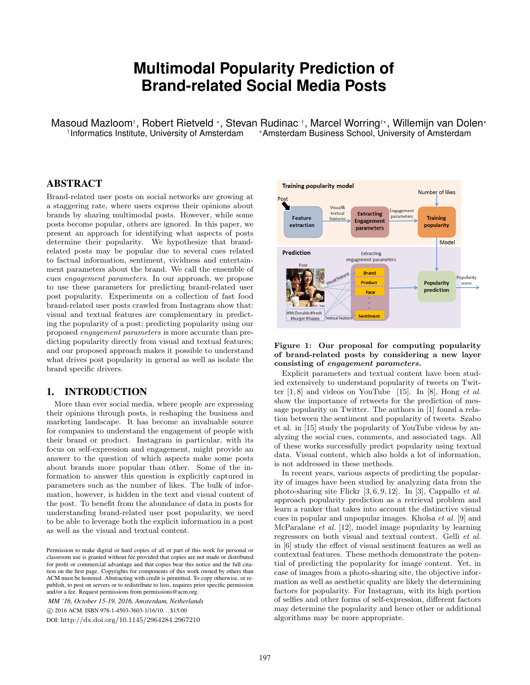# **Multimodal Popularity Prediction of Brand-related Social Media Posts**

Masoud Mazloom†, Robert Rietveld \*, Stevan Rudinac †, Marcel Worring†\*, Willemijn van Dolen\* <sup>†</sup> Informatics Institute, University of Amsterdam \*Amsterdam Business School, University of Amsterdam

## ABSTRACT

Brand-related user posts on social networks are growing at a staggering rate, where users express their opinions about brands by sharing multimodal posts. However, while some posts become popular, others are ignored. In this paper, we present an approach for identifying what aspects of posts determine their popularity. We hypothesize that brandrelated posts may be popular due to several cues related to factual information, sentiment, vividness and entertainment parameters about the brand. We call the ensemble of cues engagement parameters. In our approach, we propose to use these parameters for predicting brand-related user post popularity. Experiments on a collection of fast food brand-related user posts crawled from Instagram show that: visual and textual features are complementary in predicting the popularity of a post; predicting popularity using our proposed engagement parameters is more accurate than predicting popularity directly from visual and textual features; and our proposed approach makes it possible to understand what drives post popularity in general as well as isolate the brand specific drivers.

#### 1. INTRODUCTION

More than ever social media, where people are expressing their opinions through posts, is reshaping the business and marketing landscape. It has become an invaluable source for companies to understand the engagement of people with their brand or product. Instagram in particular, with its focus on self-expression and engagement, might provide an answer to the question of which aspects make some posts about brands more popular than other. Some of the information to answer this question is explicitly captured in parameters such as the number of likes. The bulk of information, however, is hidden in the text and visual content of the post. To benefit from the abundance of data in posts for understanding brand-related user post popularity, we need to be able to leverage both the explicit information in a post as well as the visual and textual content.

*MM '16, October 15-19, 2016, Amsterdam, Netherlands* c 2016 ACM. ISBN 978-1-4503-3603-1/16/10. . . \$15.00 DOI: http://dx.doi.org/10.1145/2964284.2967210



#### Figure 1: Our proposal for computing popularity of brand-related posts by considering a new layer consisting of engagement parameters.

Explicit parameters and textual content have been studied extensively to understand popularity of tweets on Twitter  $[1, 8]$  and videos on YouTube  $[15]$ . In  $[8]$ , Hong *et al.* show the importance of retweets for the prediction of message popularity on Twitter. The authors in [1] found a relation between the sentiment and popularity of tweets. Szabo et al. in [15] study the popularity of YouTube videos by analyzing the social cues, comments, and associated tags. All of these works successfully predict popularity using textual data. Visual content, which also holds a lot of information, is not addressed in these methods.

In recent years, various aspects of predicting the popularity of images have been studied by analyzing data from the photo-sharing site Flickr [3, 6, 9, 12]. In [3], Cappallo et al. approach popularity prediction as a retrieval problem and learn a ranker that takes into account the distinctive visual cues in popular and unpopular images. Kholsa et al. [9] and McParalane et al. [12], model image popularity by learning regressors on both visual and textual context. Gelli et al. in [6] study the effect of visual sentiment features as well as contextual features. These methods demonstrate the potential of predicting the popularity for image content. Yet, in case of images from a photo-sharing site, the objective information as well as aesthetic quality are likely the determining factors for popularity. For Instagram, with its high portion of selfies and other forms of self-expression, different factors may determine the popularity and hence other or additional algorithms may be more appropriate.

Permission to make digital or hard copies of all or part of this work for personal or classroom use is granted without fee provided that copies are not made or distributed for profit or commercial advantage and that copies bear this notice and the full citation on the first page. Copyrights for components of this work owned by others than ACM must be honored. Abstracting with credit is permitted. To copy otherwise, or republish, to post on servers or to redistribute to lists, requires prior specific permission and/or a fee. Request permissions from permissions@acm.org.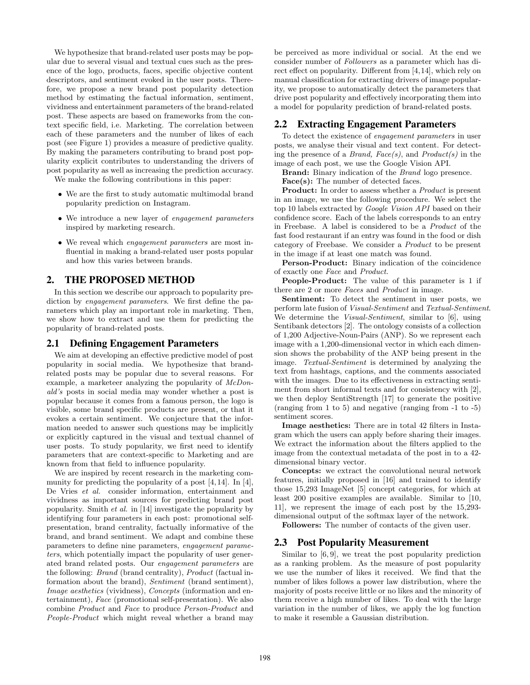We hypothesize that brand-related user posts may be popular due to several visual and textual cues such as the presence of the logo, products, faces, specific objective content descriptors, and sentiment evoked in the user posts. Therefore, we propose a new brand post popularity detection method by estimating the factual information, sentiment, vividness and entertainment parameters of the brand-related post. These aspects are based on frameworks from the context specific field, i.e. Marketing. The correlation between each of these parameters and the number of likes of each post (see Figure 1) provides a measure of predictive quality. By making the parameters contributing to brand post popularity explicit contributes to understanding the drivers of post popularity as well as increasing the prediction accuracy.

We make the following contributions in this paper:

- We are the first to study automatic multimodal brand popularity prediction on Instagram.
- We introduce a new layer of *engagement parameters* inspired by marketing research.
- We reveal which *engagement parameters* are most influential in making a brand-related user posts popular and how this varies between brands.

## 2. THE PROPOSED METHOD

In this section we describe our approach to popularity prediction by *engagement parameters*. We first define the parameters which play an important role in marketing. Then, we show how to extract and use them for predicting the popularity of brand-related posts.

#### 2.1 Defining Engagement Parameters

We aim at developing an effective predictive model of post popularity in social media. We hypothesize that brandrelated posts may be popular due to several reasons. For example, a marketeer analyzing the popularity of  $McDon$ ald's posts in social media may wonder whether a post is popular because it comes from a famous person, the logo is visible, some brand specific products are present, or that it evokes a certain sentiment. We conjecture that the information needed to answer such questions may be implicitly or explicitly captured in the visual and textual channel of user posts. To study popularity, we first need to identify parameters that are context-specific to Marketing and are known from that field to influence popularity.

We are inspired by recent research in the marketing community for predicting the popularity of a post [4, 14]. In [4], De Vries et al. consider information, entertainment and vividness as important sources for predicting brand post popularity. Smith et al. in [14] investigate the popularity by identifying four parameters in each post: promotional selfpresentation, brand centrality, factually informative of the brand, and brand sentiment. We adapt and combine these parameters to define nine parameters, engagement parameters, which potentially impact the popularity of user generated brand related posts. Our engagement parameters are the following: Brand (brand centrality), Product (factual information about the brand), *Sentiment* (brand sentiment), Image aesthetics (vividness), Concepts (information and entertainment), Face (promotional self-presentation). We also combine Product and Face to produce Person-Product and People-Product which might reveal whether a brand may

be perceived as more individual or social. At the end we consider number of Followers as a parameter which has direct effect on popularity. Different from [4,14], which rely on manual classification for extracting drivers of image popularity, we propose to automatically detect the parameters that drive post popularity and effectively incorporating them into a model for popularity prediction of brand-related posts.

#### 2.2 Extracting Engagement Parameters

To detect the existence of engagement parameters in user posts, we analyse their visual and text content. For detecting the presence of a *Brand*,  $Face(s)$ , and  $Product(s)$  in the image of each post, we use the Google Vision API.

Brand: Binary indication of the Brand logo presence.

Face(s): The number of detected faces.

Product: In order to assess whether a *Product* is present in an image, we use the following procedure. We select the top 10 labels extracted by Google Vision API based on their confidence score. Each of the labels corresponds to an entry in Freebase. A label is considered to be a Product of the fast food restaurant if an entry was found in the food or dish category of Freebase. We consider a Product to be present in the image if at least one match was found.

Person-Product: Binary indication of the coincidence of exactly one Face and Product.

People-Product: The value of this parameter is 1 if there are 2 or more Faces and Product in image.

Sentiment: To detect the sentiment in user posts, we perform late fusion of Visual-Sentiment and Textual-Sentiment. We determine the *Visual-Sentiment*, similar to [6], using Sentibank detectors [2]. The ontology consists of a collection of 1,200 Adjective-Noun-Pairs (ANP). So we represent each image with a 1,200-dimensional vector in which each dimension shows the probability of the ANP being present in the image. Textual-Sentiment is determined by analyzing the text from hashtags, captions, and the comments associated with the images. Due to its effectiveness in extracting sentiment from short informal texts and for consistency with  $[2]$ , we then deploy SentiStrength [17] to generate the positive (ranging from 1 to 5) and negative (ranging from -1 to -5) sentiment scores.

Image aesthetics: There are in total 42 filters in Instagram which the users can apply before sharing their images. We extract the information about the filters applied to the image from the contextual metadata of the post in to a 42 dimensional binary vector.

Concepts: we extract the convolutional neural network features, initially proposed in [16] and trained to identify those 15,293 ImageNet [5] concept categories, for which at least 200 positive examples are available. Similar to [10, 11], we represent the image of each post by the 15,293 dimensional output of the softmax layer of the network.

Followers: The number of contacts of the given user.

#### 2.3 Post Popularity Measurement

Similar to [6, 9], we treat the post popularity prediction as a ranking problem. As the measure of post popularity we use the number of likes it received. We find that the number of likes follows a power law distribution, where the majority of posts receive little or no likes and the minority of them receive a high number of likes. To deal with the large variation in the number of likes, we apply the log function to make it resemble a Gaussian distribution.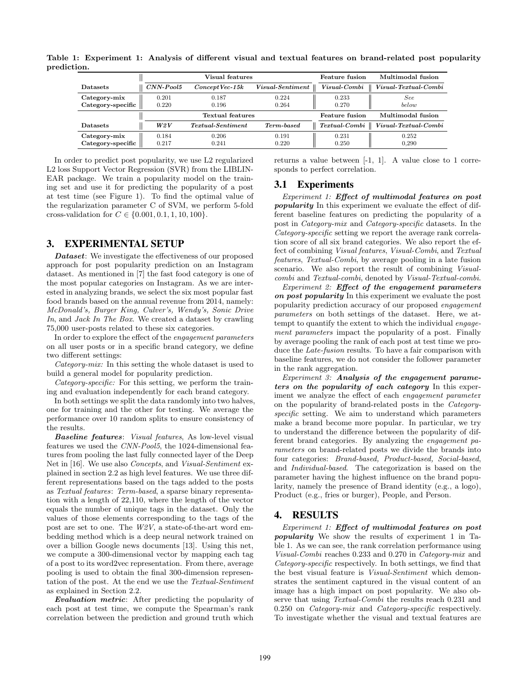|                                   |                    | Visual features          | Feature fusion   | Multimodal fusion                                                   |                      |
|-----------------------------------|--------------------|--------------------------|------------------|---------------------------------------------------------------------|----------------------|
| <b>Datasets</b>                   | $CNN\text{-}Pool5$ | $ConceptVec-15k$         | Visual-Sentiment | $Visual-Combi$                                                      | Visual-Textual-Combi |
| Category-mix<br>Category-specific | 0.201<br>0.220     | 0.187<br>0.196           | 0.224<br>0.264   | 0.233<br>0.270                                                      | See<br>below         |
|                                   |                    |                          |                  |                                                                     |                      |
|                                   |                    | <b>Textual features</b>  |                  | <b>Feature fusion</b>                                               | Multimodal fusion    |
| <b>Datasets</b>                   | W2V                | <i>Textual-Sentiment</i> | Term-based       | $\boldsymbol{T}\boldsymbol{extual}\boldsymbol{-}\boldsymbol{Combi}$ | Visual-Textual-Combi |

Table 1: Experiment 1: Analysis of different visual and textual features on brand-related post popularity prediction.

In order to predict post popularity, we use L2 regularized L2 loss Support Vector Regression (SVR) from the LIBLIN-EAR package. We train a popularity model on the training set and use it for predicting the popularity of a post at test time (see Figure 1). To find the optimal value of the regularization parameter C of SVM, we perform 5-fold cross-validation for  $C \in \{0.001, 0.1, 1, 10, 100\}.$ 

## 3. EXPERIMENTAL SETUP

**Dataset:** We investigate the effectiveness of our proposed approach for post popularity prediction on an Instagram dataset. As mentioned in [7] the fast food category is one of the most popular categories on Instagram. As we are interested in analyzing brands, we select the six most popular fast food brands based on the annual revenue from 2014, namely: McDonald's, Burger King, Culver's, Wendy's, Sonic Drive In, and Jack In The Box. We created a dataset by crawling 75,000 user-posts related to these six categories.

In order to explore the effect of the engagement parameters on all user posts or in a specific brand category, we define two different settings:

Category-mix: In this setting the whole dataset is used to build a general model for popularity prediction.

Category-specific: For this setting, we perform the training and evaluation independently for each brand category.

In both settings we split the data randomly into two halves, one for training and the other for testing. We average the performance over 10 random splits to ensure consistency of the results.

Baseline features: Visual features, As low-level visual features we used the CNN-Pool5, the 1024-dimensional features from pooling the last fully connected layer of the Deep Net in [16]. We use also Concepts, and Visual-Sentiment explained in section 2.2 as high level features. We use three different representations based on the tags added to the posts as Textual features: Term-based, a sparse binary representation with a length of 22,110, where the length of the vector equals the number of unique tags in the dataset. Only the values of those elements corresponding to the tags of the post are set to one. The W2V, a state-of-the-art word embedding method which is a deep neural network trained on over a billion Google news documents [13]. Using this net, we compute a 300-dimensional vector by mapping each tag of a post to its word2vec representation. From there, average pooling is used to obtain the final 300-dimension representation of the post. At the end we use the Textual-Sentiment as explained in Section 2.2.

Evaluation metric: After predicting the popularity of each post at test time, we compute the Spearman's rank correlation between the prediction and ground truth which

returns a value between [-1, 1]. A value close to 1 corresponds to perfect correlation.

#### 3.1 Experiments

Experiment 1: Effect of multimodal features on post popularity In this experiment we evaluate the effect of different baseline features on predicting the popularity of a post in Category-mix and Category-specific datasets. In the Category-specific setting we report the average rank correlation score of all six brand categories. We also report the effect of combining Visual features, Visual-Combi, and Textual features, Textual-Combi, by average pooling in a late fusion scenario. We also report the result of combining *Visual*combi and Textual-combi, denoted by Visual-Textual-combi.

Experiment 2: Effect of the engagement parameters on post popularity In this experiment we evaluate the post popularity prediction accuracy of our proposed engagement parameters on both settings of the dataset. Here, we attempt to quantify the extent to which the individual engagement parameters impact the popularity of a post. Finally by average pooling the rank of each post at test time we produce the Late-fusion results. To have a fair comparison with baseline features, we do not consider the follower parameter in the rank aggregation.

Experiment 3: Analysis of the engagement parameters on the popularity of each category In this experiment we analyze the effect of each engagement parameter on the popularity of brand-related posts in the Categoryspecific setting. We aim to understand which parameters make a brand become more popular. In particular, we try to understand the difference between the popularity of different brand categories. By analyzing the engagement parameters on brand-related posts we divide the brands into four categories: Brand-based, Product-based, Social-based, and Individual-based. The categorization is based on the parameter having the highest influence on the brand popularity, namely the presence of Brand identity (e.g., a logo), Product (e.g., fries or burger), People, and Person.

#### 4. RESULTS

Experiment 1: Effect of multimodal features on post popularity We show the results of experiment 1 in Table 1. As we can see, the rank correlation performance using Visual-Combi reaches 0.233 and 0.270 in Category-mix and Category-specific respectively. In both settings, we find that the best visual feature is Visual-Sentiment which demonstrates the sentiment captured in the visual content of an image has a high impact on post popularity. We also observe that using *Textual-Combi* the results reach 0.231 and 0.250 on *Category-mix* and *Category-specific* respectively. To investigate whether the visual and textual features are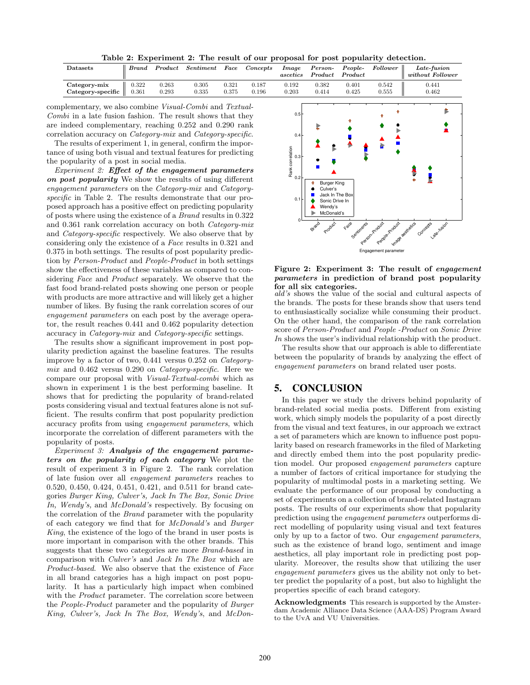Table 2: Experiment 2: The result of our proposal for post popularity detection.

| Datasets          | <b>Brand</b> | Product | Sentiment  | Face  | Concepts | Image<br>ascetics | Person-<br>Product | People-<br>Product | Follower   | Late-fusion<br>without Follower |
|-------------------|--------------|---------|------------|-------|----------|-------------------|--------------------|--------------------|------------|---------------------------------|
| Category-mix      | 0.322        | 0.263   | $_{0.305}$ | 0.321 | 0.187    | 0.192             | $_{0.382}$         | 0.401              | $_{0.542}$ | 0.441                           |
| Category-specific | 0.361        | 0.293   | 0.335      | 0.375 | 0.196    | 0.203             | 0.414              | 0.425              | 0.555      | 0.462                           |

complementary, we also combine Visual-Combi and Textual-Combi in a late fusion fashion. The result shows that they are indeed complementary, reaching 0.252 and 0.290 rank correlation accuracy on Category-mix and Category-specific.

The results of experiment 1, in general, confirm the importance of using both visual and textual features for predicting the popularity of a post in social media.

Experiment 2: Effect of the engagement parameters on post popularity We show the results of using different engagement parameters on the Category-mix and Categoryspecific in Table 2. The results demonstrate that our proposed approach has a positive effect on predicting popularity of posts where using the existence of a Brand results in 0.322 and 0.361 rank correlation accuracy on both Category-mix and Category-specific respectively. We also observe that by considering only the existence of a Face results in 0.321 and 0.375 in both settings. The results of post popularity prediction by Person-Product and People-Product in both settings show the effectiveness of these variables as compared to considering Face and Product separately. We observe that the fast food brand-related posts showing one person or people with products are more attractive and will likely get a higher number of likes. By fusing the rank correlation scores of our engagement parameters on each post by the average operator, the result reaches 0.441 and 0.462 popularity detection accuracy in Category-mix and Category-specific settings.

The results show a significant improvement in post popularity prediction against the baseline features. The results improve by a factor of two, 0.441 versus 0.252 on Categorymix and 0.462 versus 0.290 on Category-specific. Here we compare our proposal with Visual-Textual-combi which as shown in experiment 1 is the best performing baseline. It shows that for predicting the popularity of brand-related posts considering visual and textual features alone is not sufficient. The results confirm that post popularity prediction accuracy profits from using engagement parameters, which incorporate the correlation of different parameters with the popularity of posts.

Experiment 3: Analysis of the engagement parameters on the popularity of each category We plot the result of experiment 3 in Figure 2. The rank correlation of late fusion over all engagement parameters reaches to 0.520, 0.450, 0.424, 0.451, 0.421, and 0.511 for brand categories Burger King, Culver's, Jack In The Box, Sonic Drive In, Wendy's, and McDonald's respectively. By focusing on the correlation of the Brand parameter with the popularity of each category we find that for McDonald's and Burger King, the existence of the logo of the brand in user posts is more important in comparison with the other brands. This suggests that these two categories are more Brand-based in comparison with Culver's and Jack In The Box which are Product-based. We also observe that the existence of Face in all brand categories has a high impact on post popularity. It has a particularly high impact when combined with the Product parameter. The correlation score between the People-Product parameter and the popularity of Burger and 0.361 trank correlation accuracy on both *Category-miz*<br>(and  $O.367$  in the science of a *Face results* in 0.321 and  $O.475$  in both settings. The results in 0.321 and  $O.475$  in both settings and  $V$  ersor. *Froduct* 



Figure 2: Experiment 3: The result of engagement parameters in prediction of brand post popularity for all six categories.

ald's shows the value of the social and cultural aspects of the brands. The posts for these brands show that users tend to enthusiastically socialize while consuming their product. On the other hand, the comparison of the rank correlation score of Person-Product and People -Product on Sonic Drive In shows the user's individual relationship with the product.

The results show that our approach is able to differentiate between the popularity of brands by analyzing the effect of engagement parameters on brand related user posts.

## 5. CONCLUSION

In this paper we study the drivers behind popularity of brand-related social media posts. Different from existing work, which simply models the popularity of a post directly from the visual and text features, in our approach we extract a set of parameters which are known to influence post popularity based on research frameworks in the filed of Marketing and directly embed them into the post popularity prediction model. Our proposed engagement parameters capture a number of factors of critical importance for studying the popularity of multimodal posts in a marketing setting. We evaluate the performance of our proposal by conducting a set of experiments on a collection of brand-related Instagram posts. The results of our experiments show that popularity prediction using the engagement parameters outperforms direct modelling of popularity using visual and text features only by up to a factor of two. Our engagement parameters, such as the existence of brand logo, sentiment and image aesthetics, all play important role in predicting post popularity. Moreover, the results show that utilizing the user engagement parameters gives us the ability not only to better predict the popularity of a post, but also to highlight the properties specific of each brand category.

Acknowledgments This research is supported by the Amsterdam Academic Alliance Data Science (AAA-DS) Program Award to the UvA and VU Universities.